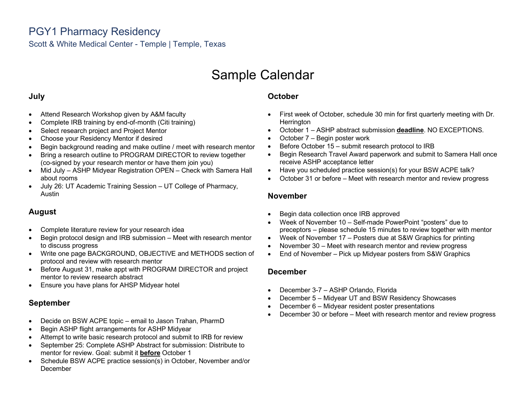# Sample Calendar

### **July**

- Attend Research Workshop given by A&M faculty
- Complete IRB training by end-of-month (Citi training)
- Select research project and Project Mentor
- Choose your Residency Mentor if desired
- Begin background reading and make outline / meet with research mentor
- Bring a research outline to PROGRAM DIRECTOR to review together (co-signed by your research mentor or have them join you)
- Mid July ASHP Midyear Registration OPEN Check with Samera Hall about rooms
- July 26: UT Academic Training Session UT College of Pharmacy, Austin

# **August**

- Complete literature review for your research idea
- Begin protocol design and IRB submission Meet with research mentor to discuss progress
- Write one page BACKGROUND, OBJECTIVE and METHODS section of protocol and review with research mentor
- Before August 31, make appt with PROGRAM DIRECTOR and project mentor to review research abstract
- Ensure you have plans for AHSP Midyear hotel

### **September**

- Decide on BSW ACPE topic email to Jason Trahan, PharmD
- Begin ASHP flight arrangements for ASHP Midyear
- Attempt to write basic research protocol and submit to IRB for review
- September 25: Complete ASHP Abstract for submission: Distribute to mentor for review. Goal: submit it **before** October 1
- Schedule BSW ACPE practice session(s) in October, November and/or **December**

# **October**

- First week of October, schedule 30 min for first quarterly meeting with Dr. **Herrington**
- October 1 ASHP abstract submission **deadline**. NO EXCEPTIONS.
- October 7 Begin poster work
- Before October 15 submit research protocol to IRB
- Begin Research Travel Award paperwork and submit to Samera Hall once receive ASHP acceptance letter
- Have you scheduled practice session(s) for your BSW ACPE talk?
- October 31 or before Meet with research mentor and review progress

### **November**

- Begin data collection once IRB approved
- Week of November 10 Self-made PowerPoint "posters" due to preceptors – please schedule 15 minutes to review together with mentor
- Week of November 17 Posters due at S&W Graphics for printing
- November 30 Meet with research mentor and review progress
- End of November Pick up Midyear posters from S&W Graphics

### **December**

- December 3-7 ASHP Orlando, Florida
- December 5 Midyear UT and BSW Residency Showcases
- December 6 Midyear resident poster presentations
- December 30 or before Meet with research mentor and review progress